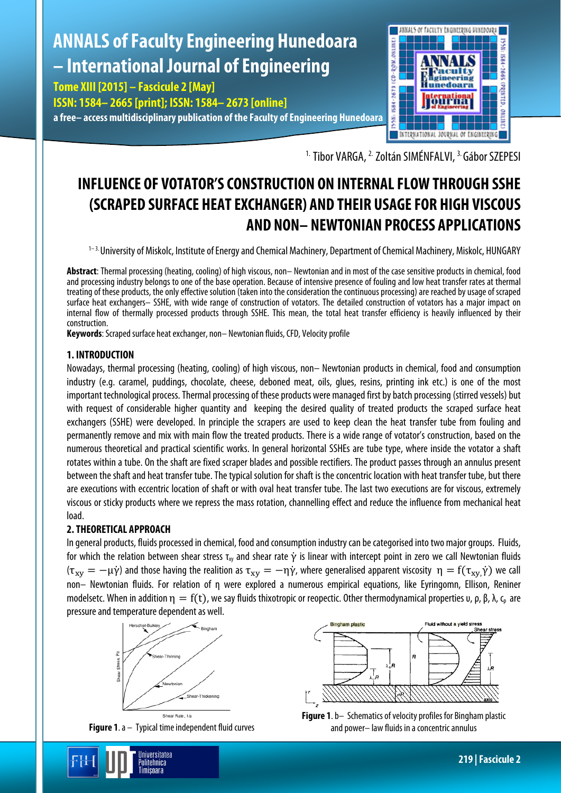# **ANNALS of Faculty Engineering Hunedoara – International Journal of Engineering**

**Tome XIII [2015] – Fascicule 2 [May] ISSN: 1584– 2665 [print]; ISSN: 1584– 2673 [online] a free– access multidisciplinary publication of the Faculty of Engineering Hunedoara**



<sup>1.</sup> Tibor VARGA, <sup>2.</sup> Zoltán SIMÉNFALVI, <sup>3.</sup> Gábor SZEPESI

# **INFLUENCE OF VOTATOR'S CONSTRUCTION ON INTERNAL FLOW THROUGH SSHE (SCRAPED SURFACE HEAT EXCHANGER) AND THEIR USAGE FOR HIGH VISCOUS AND NON– NEWTONIAN PROCESS APPLICATIONS**

<sup>1–3.</sup> University of Miskolc, Institute of Energy and Chemical Machinery, Department of Chemical Machinery, Miskolc, HUNGARY

**Abstract**: Thermal processing (heating, cooling) of high viscous, non– Newtonian and in most of the case sensitive products in chemical, food and processing industry belongs to one of the base operation. Because of intensive presence of fouling and low heat transfer rates at thermal treating of these products, the only effective solution (taken into the consideration the continuous processing) are reached by usage of scraped surface heat exchangers– SSHE, with wide range of construction of votators. The detailed construction of votators has a major impact on internal flow of thermally processed products through SSHE. This mean, the total heat transfer efficiency is heavily influenced by their construction.

**Keywords**: Scraped surface heat exchanger, non– Newtonian fluids, CFD, Velocity profile

# **1. INTRODUCTION**

Nowadays, thermal processing (heating, cooling) of high viscous, non– Newtonian products in chemical, food and consumption industry (e.g. caramel, puddings, chocolate, cheese, deboned meat, oils, glues, resins, printing ink etc.) is one of the most important technological process. Thermal processing of these products were managed first by batch processing (stirred vessels) but with request of considerable higher quantity and keeping the desired quality of treated products the scraped surface heat exchangers (SSHE) were developed. In principle the scrapers are used to keep clean the heat transfer tube from fouling and permanently remove and mix with main flow the treated products. There is a wide range of votator's construction, based on the numerous theoretical and practical scientific works. In general horizontal SSHEs are tube type, where inside the votator a shaft rotates within a tube. On the shaft are fixed scraper blades and possible rectifiers. The product passes through an annulus present between the shaft and heat transfer tube. The typical solution for shaft is the concentric location with heat transfer tube, but there are executions with eccentric location of shaft or with oval heat transfer tube. The last two executions are for viscous, extremely viscous or sticky products where we repress the mass rotation, channelling effect and reduce the influence from mechanical heat load.

# **2. THEORETICAL APPROACH**

In general products, fluids processed in chemical, food and consumption industry can be categorised into two major groups. Fluids, for which the relation between shear stress  $\tau_{xy}$  and shear rate  $\dot{\gamma}$  is linear with intercept point in zero we call Newtonian fluids ( $\tau_{xy}=-\mu\dot{\gamma}$ ) and those having the realition as  $\tau_{xy}=-\eta\dot{\gamma}$ , where generalised apparent viscosity  $\,\eta=f(\tau_{xy}\dot{\gamma})$  we call non– Newtonian fluids. For relation of η were explored a numerous empirical equations, like Eyringomn, Ellison, Reniner modelsetc. When in addition  $η = f(t)$ , we say fluids thixotropic or reopectic. Other thermodynamical properties  $υ$ ,  $ρ$ ,  $β$ ,  $λ$ ,  $ζ$ , are pressure and temperature dependent as well.



**Figure 1**.a – Typical time independent fluid curves

Jniversitatea Politehnica Timisnara



**Figure 1**.b– Schematics of velocity profiles for Bingham plastic and power– law fluids in a concentric annulus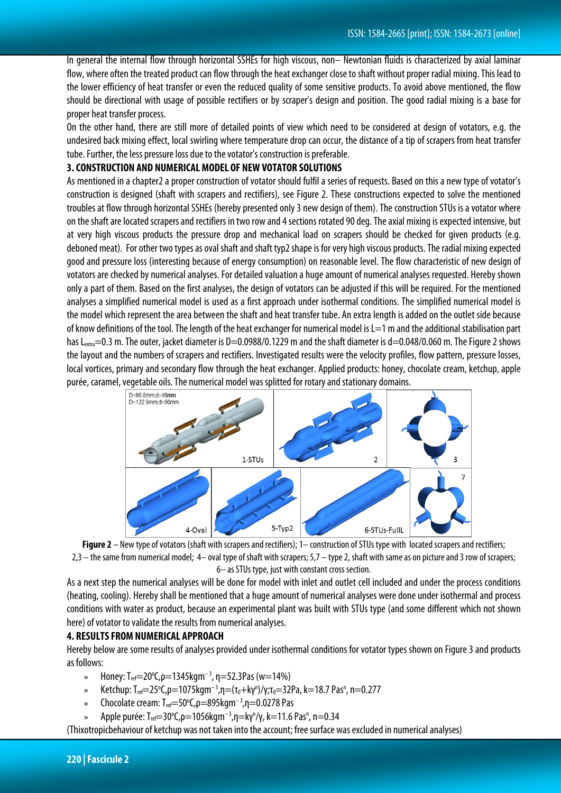In general the internal flow through horizontal SSHEs for high viscous, non– Newtonian fluids is characterized by axial laminar flow, where often the treated product can flow through the heat exchanger close to shaft without proper radial mixing. This lead to the lower efficiency of heat transfer or even the reduced quality of some sensitive products. To avoid above mentioned, the flow should be directional with usage of possible rectifiers or by scraper's design and position. The good radial mixing is a base for proper heat transfer process.

On the other hand, there are still more of detailed points of view which need to be considered at design of votators, e.g. the undesired back mixing effect, local swirling where temperature drop can occur, the distance of a tip of scrapers from heat transfer tube. Further, the less pressure loss due to the votator's construction is preferable.

#### **3. CONSTRUCTION AND NUMERICAL MODEL OF NEW VOTATOR SOLUTIONS**

As mentioned in a chapter2 a proper construction of votator should fulfil a series of requests. Based on this a new type of votator's construction is designed (shaft with scrapers and rectifiers), see Figure 2. These constructions expected to solve the mentioned troubles at flow through horizontal SSHEs (hereby presented only 3 new design of them). The construction STUs is a votator where on the shaft are located scrapers and rectifiers in two row and 4 sections rotated 90 deg. The axial mixing is expected intensive, but at very high viscous products the pressure drop and mechanical load on scrapers should be checked for given products (e.g. deboned meat). For other two types as oval shaft and shaft typ2 shape is for very high viscous products. The radial mixing expected good and pressure loss (interesting because of energy consumption) on reasonable level. The flow characteristic of new design of votators are checked by numerical analyses. For detailed valuation a huge amount of numerical analyses requested. Hereby shown only a part of them. Based on the first analyses, the design of votators can be adjusted if this will be required. For the mentioned analyses a simplified numerical model is used as a first approach under isothermal conditions. The simplified numerical model is the model which represent the area between the shaft and heat transfer tube. An extra length is added on the outlet side because of know definitions of the tool. The length of the heat exchanger for numerical model is  $L=1$  m and the additional stabilisation part has L<sub>extra</sub>=0.3 m. The outer, jacket diameter is D=0.0988/0.1229 m and the shaft diameter is d=0.048/0.060 m. The Figure 2 shows the layout and the numbers of scrapers and rectifiers. Investigated results were the velocity profiles, flow pattern, pressure losses, local vortices, primary and secondary flow through the heat exchanger. Applied products: honey, chocolate cream, ketchup, apple purée, caramel, vegetable oils. The numerical model was splitted for rotary and stationary domains.





As a next step the numerical analyses will be done for model with inlet and outlet cell included and under the process conditions (heating, cooling). Hereby shall be mentioned that a huge amount of numerical analyses were done under isothermal and process conditions with water as product, because an experimental plant was built with STUs type (and some different which not shown here) of votator to validate the results from numerical analyses.

## **4. RESULTS FROM NUMERICAL APPROACH**

Hereby below are some results of analyses provided under isothermal conditions for votator types shown on Figure 3 and products as follows:

- » Honey: T<sub>ref</sub>=20°C,  $\rho$ =1345kgm<sup>-3</sup>, η=52.3Pas (w=14%)
- » Ketchup: T<sub>ref</sub>=25°C,ρ=1075kgm<sup>-3</sup>,η=(τ<sub>0</sub>+kγ<sup>n</sup>)/γ;τ<sub>0</sub>=32Pa, k=18.7 Pas<sup>n</sup>, n=0.277
- » Chocolate cream: T<sub>ref</sub>=50°C, *ρ*=895kgm<sup>-3</sup>, η=0.0278 Pas
- » Apple purée: T<sub>ref</sub>=30°C,  $\rho$ =1056kgm<sup>-3</sup>,η=kγ<sup>n</sup>/γ, k=11.6 Pas<sup>n</sup>, n=0.34

(Thixotropicbehaviour of ketchup was not taken into the account; free surface was excluded in numerical analyses)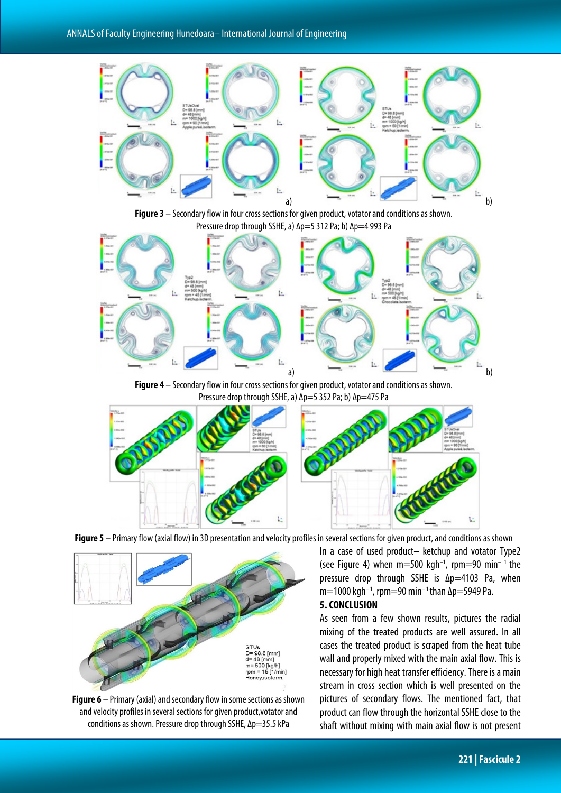





**Figure 4** – Secondary flow in four cross sections for given product, votator and conditions as shown. Pressure drop through SSHE, a)  $\Delta p=5$  352 Pa; b)  $\Delta p=475$  Pa





**Figure 5** – Primary flow (axial flow) in 3D presentation and velocity profiles in several sections for given product, and conditions as shown

**Figure 6** – Primary (axial) and secondary flow in some sections as shown and velocity profiles in several sections for given product, votator and conditions as shown. Pressure drop through SSHE, ∆p=35.5 kPa

In a case of used product– ketchup and votator Type2 (see Figure 4) when  $m=500$  kgh<sup>-1</sup>, rpm=90 min<sup>-1</sup> the pressure drop through SSHE is ∆p=4103 Pa, when m=1000 kgh<sup>-1</sup>, rpm=90 min<sup>-1</sup> than  $\Delta p$ =5949 Pa.

#### **5. CONCLUSION**

As seen from a few shown results, pictures the radial mixing of the treated products are well assured. In all cases the treated product is scraped from the heat tube wall and properly mixed with the main axial flow. This is necessary for high heat transfer efficiency. There is a main stream in cross section which is well presented on the pictures of secondary flows. The mentioned fact, that product can flow through the horizontal SSHE close to the shaft without mixing with main axial flow is not present